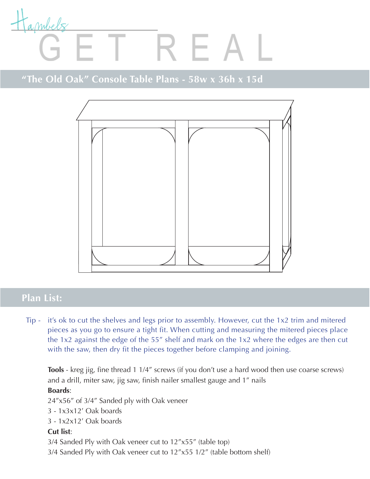

## "The Old Oak" Console Table Plans - 58w x 36h x 15d



#### **Plan List:**

Tip - it's ok to cut the shelves and legs prior to assembly. However, cut the 1x2 trim and mitered pieces as you go to ensure a tight fit. When cutting and measuring the mitered pieces place the 1x2 against the edge of the 55" shelf and mark on the 1x2 where the edges are then cut with the saw, then dry fit the pieces together before clamping and joining.

**Tools** - kreg jig, fine thread 1 1/4" screws (if you don't use a hard wood then use coarse screws) and a drill, miter saw, jig saw, finish nailer smallest gauge and 1" nails

#### **Boards**:

24"x56" of 3/4" Sanded ply with Oak veneer

- 3 1x3x12' Oak boards
- 3 1x2x12' Oak boards

#### **Cut list**:

3/4 Sanded Ply with Oak veneer cut to 12"x55" (table top)

3/4 Sanded Ply with Oak veneer cut to 12"x55 1/2" (table bottom shelf)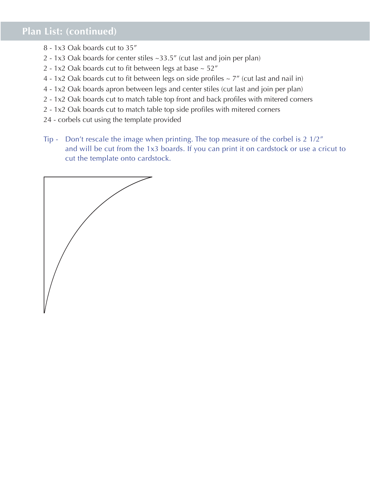### **Plan List: (continued)**

- 8 1x3 Oak boards cut to 35"
- 2 1x3 Oak boards for center stiles ~33.5" (cut last and join per plan)
- 2 1x2 Oak boards cut to fit between legs at base  $\sim$  52"
- 4 1x2 Oak boards cut to fit between legs on side profiles  $\sim$  7" (cut last and nail in)
- 4 1x2 Oak boards apron between legs and center stiles (cut last and join per plan)
- 2 1x2 Oak boards cut to match table top front and back profiles with mitered corners
- 2 1x2 Oak boards cut to match table top side profiles with mitered corners
- 24 corbels cut using the template provided
- Tip Don't rescale the image when printing. The top measure of the corbel is 2 1/2" and will be cut from the 1x3 boards. If you can print it on cardstock or use a cricut to cut the template onto cardstock.

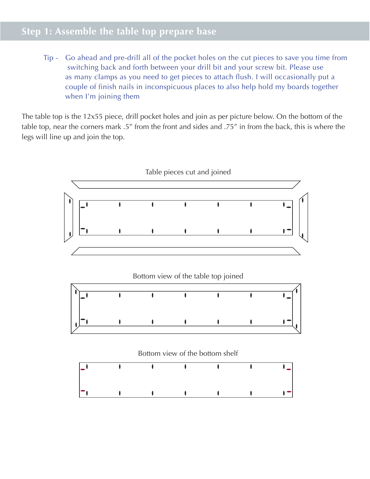## **Step 1: Assemble the table top prepare base**

Tip - Go ahead and pre-drill all of the pocket holes on the cut pieces to save you time from switching back and forth between your drill bit and your screw bit. Please use as many clamps as you need to get pieces to attach flush. I will occasionally put a couple of finish nails in inconspicuous places to also help hold my boards together when I'm joining them

The table top is the 12x55 piece, drill pocket holes and join as per picture below. On the bottom of the table top, near the corners mark .5" from the front and sides and .75" in from the back, this is where the legs will line up and join the top.

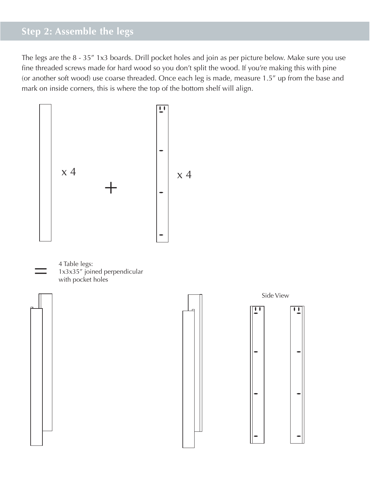## **Step 2: Assemble the legs**

The legs are the 8 - 35" 1x3 boards. Drill pocket holes and join as per picture below. Make sure you use fine threaded screws made for hard wood so you don't split the wood. If you're making this with pine (or another soft wood) use coarse threaded. Once each leg is made, measure 1.5 $^{\prime\prime}$  up from the base and mark on inside corners, this is where the top of the bottom shelf will align. <sup>e,</sup> me<br>ill ali

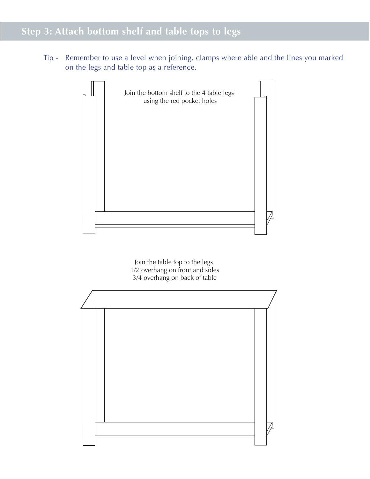# **Step 3: Attach bottom shelf and table tops to legs**

Tip - Remember to use a level when joining, clamps where able and the lines you marked on the legs and table top as a reference.



Join the table top to the legs 1/2 overhang on front and sides 3/4 overhang on back of table

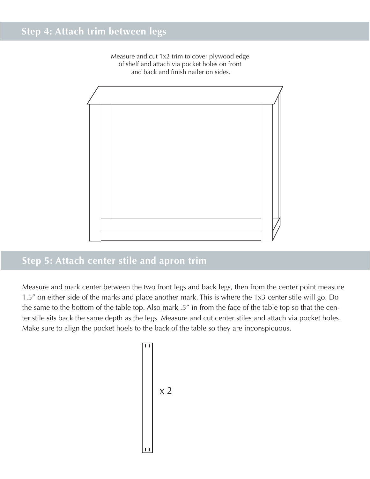Measure and cut 1x2 trim to cover plywood edge of shelf and attach via pocket holes on front and back and finish nailer on sides.



## **Step 5: Attach center stile and apron trim**

Measure and mark center between the two front legs and back legs, then from the center point measure 1.5" on either side of the marks and place another mark. This is where the 1x3 center stile will go. Do the same to the bottom of the table top. Also mark .5" in from the face of the table top so that the center stile sits back the same depth as the legs. Measure and cut center stiles and attach via pocket holes. Make sure to align the pocket hoels to the back of the table so they are inconspicuous.

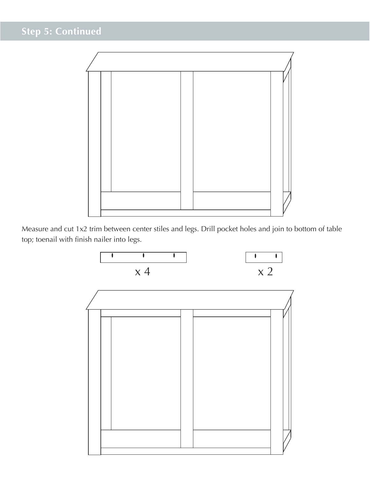

arrange the pocket holes to face the back of the table

Measure and cut 1x2 trim between center stiles and legs. Drill pocket holes and join to bottom of table top; toenail with finish nailer into legs.